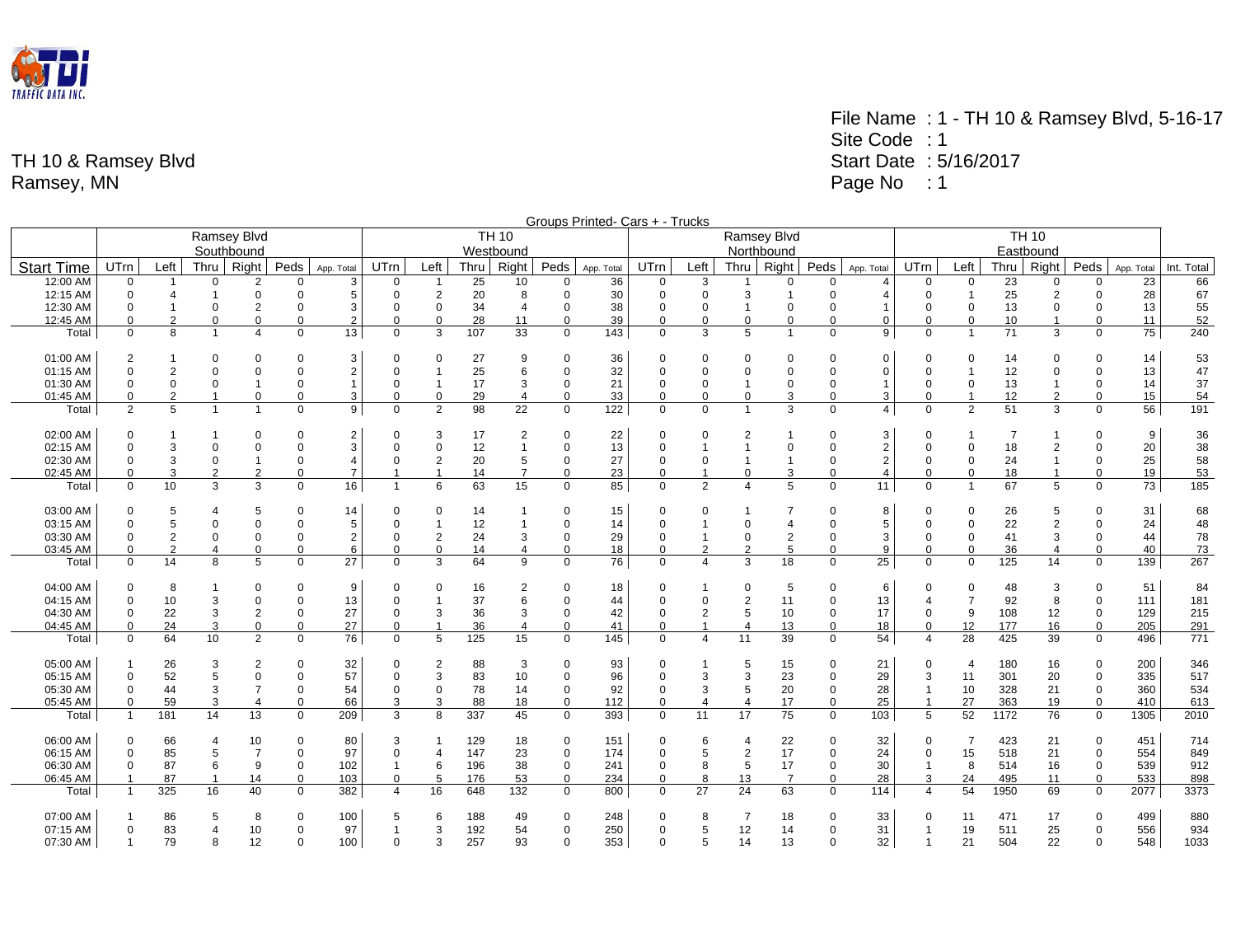

|                   | Groups Printed- Cars + - Trucks<br>Ramsey Blvd<br><b>TH 10</b><br><b>TH 10</b><br>Ramsey Blvd |                         |                |                |             |                |                  |                |      |                |                |            |                |                         |                |                |             |                |                |                |      |                |             |            |            |  |  |  |
|-------------------|-----------------------------------------------------------------------------------------------|-------------------------|----------------|----------------|-------------|----------------|------------------|----------------|------|----------------|----------------|------------|----------------|-------------------------|----------------|----------------|-------------|----------------|----------------|----------------|------|----------------|-------------|------------|------------|--|--|--|
|                   |                                                                                               |                         |                |                |             |                |                  |                |      |                |                |            |                |                         |                |                |             |                |                |                |      |                |             |            |            |  |  |  |
|                   |                                                                                               |                         |                | Southbound     |             |                |                  |                |      | Westbound      |                |            |                |                         |                | Northbound     |             |                |                |                |      | Eastbound      |             |            |            |  |  |  |
| <b>Start Time</b> | <b>UTrn</b>                                                                                   | Left                    | Thru           | Right          | Peds        | App. Total     | <b>UTrn</b>      | Left           | Thru | Right          | Peds           | App. Total | UTrn           | Left                    | Thru I         | Right          | Peds        | App. Total     | <b>UTrn</b>    | Left           | Thru | Right          | Peds        | App. Total | Int. Total |  |  |  |
| 12:00 AM          | $\mathbf 0$                                                                                   |                         | $\mathbf 0$    | 2              | 0           | 3              | $\Omega$         | $\overline{1}$ | 25   | 10             | $\mathbf 0$    | 36         | $\mathbf 0$    | 3                       | -1             | 0              | $\mathbf 0$ | 4              | 0              | 0              | 23   | $\mathbf 0$    | 0           | 23         | 66         |  |  |  |
| 12:15 AM          | 0                                                                                             | $\overline{4}$          | $\mathbf{1}$   | $\Omega$       | 0           | 5              | 0                | $\overline{2}$ | 20   | 8              | $\Omega$       | 30         | $\Omega$       | $\mathbf 0$             | 3              | $\overline{1}$ | $\Omega$    | $\overline{4}$ | $\mathbf 0$    |                | 25   | 2              | $\mathbf 0$ | 28         | 67         |  |  |  |
| 12:30 AM          | 0                                                                                             |                         | $\Omega$       | $\overline{2}$ | $\Omega$    | 3              | 0                | $\mathbf 0$    | 34   | $\overline{4}$ | $\Omega$       | 38         | $\Omega$       | $\Omega$                | -1             | $\Omega$       | $\Omega$    | $\overline{1}$ | $\Omega$       | $\Omega$       | 13   | $\mathbf 0$    | 0           | 13         | 55         |  |  |  |
| 12:45 AM          | $\Omega$                                                                                      | $\overline{2}$          | $\Omega$       | $\mathbf 0$    | $\mathbf 0$ | 2              | $\Omega$         | $\Omega$       | 28   | 11             | $\mathbf 0$    | 39         | $\Omega$       | $\mathbf 0$             | $\mathbf 0$    | $\Omega$       | 0           | $\Omega$       | 0              | $\mathbf 0$    | 10   | $\mathbf{1}$   | $\mathbf 0$ | 11         | 52         |  |  |  |
| Total             | $\Omega$                                                                                      | 8                       | $\overline{1}$ |                | $\Omega$    | 13             | $\Omega$         | 3              | 107  | 33             | $\mathbf 0$    | 143        | $\mathbf 0$    | 3                       | 5              | $\overline{1}$ | $\Omega$    | 9              | $\Omega$       |                | 71   | 3              | 0           | 75         | 240        |  |  |  |
| 01:00 AM          | 2                                                                                             |                         | $\Omega$       | $\Omega$       | $\Omega$    | 3              | $\Omega$         | $\Omega$       | 27   | 9              | $\Omega$       | 36         | $\Omega$       | $\Omega$                | $\Omega$       | $\Omega$       | $\Omega$    | $\Omega$       | $\Omega$       | $\Omega$       | 14   | $\Omega$       | 0           | 14         | 53         |  |  |  |
| 01:15 AM          | $\Omega$                                                                                      | 2                       | $\Omega$       | $\Omega$       | $\Omega$    | $\overline{2}$ | $\mathbf 0$      | $\mathbf{1}$   | 25   | 6              | $\mathbf 0$    | 32         | $\Omega$       | $\Omega$                | 0              | $\Omega$       | $\Omega$    | $\mathbf 0$    | $\Omega$       |                | 12   | $\Omega$       | 0           | 13         | 47         |  |  |  |
| 01:30 AM          | 0                                                                                             | 0                       | $\mathbf 0$    | $\mathbf 1$    | 0           | $\mathbf{1}$   | 0                | $\overline{1}$ | 17   | 3              | $\mathbf 0$    | 21         | $\mathbf 0$    | $\mathbf 0$             | $\mathbf{1}$   | $\mathbf 0$    | $\mathbf 0$ | $\mathbf{1}$   | 0              | $\mathbf 0$    | 13   | $\mathbf{1}$   | 0           | 14         | 37         |  |  |  |
| 01:45 AM          | $\Omega$                                                                                      | $\overline{2}$          | $\overline{1}$ | $\Omega$       | $\Omega$    | 3              | $\Omega$         | $\Omega$       | 29   | $\overline{4}$ | $\mathbf 0$    | 33         | $\mathbf 0$    | $\Omega$                | 0              | 3              | $\Omega$    | 3              | $\Omega$       | $\overline{1}$ | 12   | 2              | $\mathbf 0$ | 15         | 54         |  |  |  |
| Total             | $\mathfrak{p}$                                                                                | 5                       | $\overline{1}$ | 1              | $\mathbf 0$ | 9              | $\mathbf 0$      | $\overline{2}$ | 98   | 22             | $\mathbf 0$    | 122        | $\mathbf 0$    | $\Omega$                | $\overline{1}$ | 3              | $\Omega$    | $\overline{4}$ | $\Omega$       | $\overline{2}$ | 51   | 3              | $\mathbf 0$ | 56         | 191        |  |  |  |
| 02:00 AM          | 0                                                                                             |                         |                | $\Omega$       | 0           | 2              | 0                | 3              | 17   | 2              | $\mathbf 0$    | 22         | $\Omega$       | $\Omega$                | 2              |                | $\Omega$    | 3              | $\Omega$       |                | 7    |                | 0           | 9          | 36         |  |  |  |
| 02:15 AM          | $\Omega$                                                                                      | 3                       | $\Omega$       | $\Omega$       | $\Omega$    | 3              | $\Omega$         | $\Omega$       | 12   | $\mathbf{1}$   | $\mathbf 0$    | 13         | $\Omega$       |                         | 1              | $\Omega$       | $\Omega$    | 2              | $\Omega$       | $\mathbf 0$    | 18   | $\overline{2}$ | $\mathbf 0$ | 20         | 38         |  |  |  |
| 02:30 AM          | $\mathbf 0$                                                                                   | 3                       | $\mathbf 0$    | 1              | 0           | 4              | 0                | $\overline{2}$ | 20   | 5              | $\mathbf 0$    | 27         | $\Omega$       | $\mathbf 0$             | $\mathbf{1}$   | $\overline{1}$ | $\Omega$    | $\overline{2}$ | $\mathbf 0$    | $\mathbf 0$    | 24   | $\mathbf{1}$   | 0           | 25         | 58         |  |  |  |
| 02:45 AM          | $\Omega$                                                                                      | 3                       | $\overline{2}$ | 2              | $\Omega$    | $\overline{7}$ |                  | $\overline{1}$ | 14   | $\overline{7}$ | $\mathbf 0$    | 23         | $\Omega$       | $\overline{1}$          | $\mathbf 0$    | 3              | $\mathbf 0$ | $\overline{4}$ | $\mathbf 0$    | $\mathbf 0$    | 18   | $\overline{1}$ | 0           | 19         | 53         |  |  |  |
| Total             | $\Omega$                                                                                      | 10                      | 3              | 3              | $\Omega$    | 16             |                  | 6              | 63   | 15             | $\Omega$       | 85         | $\Omega$       | $\overline{2}$          |                | 5              | $\Omega$    | 11             | $\Omega$       |                | 67   | 5              | $\Omega$    | 73         | 185        |  |  |  |
| 03:00 AM          | 0                                                                                             | 5                       | $\overline{4}$ | 5              | $\Omega$    | 14             | 0                | $\Omega$       | 14   |                | $\Omega$       | 15         | $\Omega$       | $\Omega$                |                | $\overline{7}$ | $\Omega$    | 8              | $\Omega$       | 0              | 26   | 5              | 0           | 31         | 68         |  |  |  |
| 03:15 AM          | $\Omega$                                                                                      | 5                       | $\mathbf 0$    | $\Omega$       | 0           | 5              | 0                | $\overline{1}$ | 12   | $\overline{1}$ | $\overline{0}$ | 14         | $\Omega$       |                         | 0              | $\overline{4}$ | $\mathbf 0$ | 5              | $\Omega$       | 0              | 22   | 2              | $\mathbf 0$ | 24         | 48         |  |  |  |
| 03:30 AM          | 0                                                                                             | $\overline{\mathbf{c}}$ | $\mathbf 0$    | $\Omega$       | $\Omega$    | 2              | 0                | $\overline{2}$ | 24   | 3              | $\mathbf 0$    | 29         | $\mathbf 0$    | $\mathbf{1}$            | 0              | $\sqrt{2}$     | 0           | 3              | $\Omega$       | 0              | 41   | 3              | 0           | 44         | 78         |  |  |  |
| 03:45 AM          | $\Omega$                                                                                      | $\overline{2}$          | $\overline{4}$ | $\Omega$       | $\Omega$    | 6              | $\Omega$         | $\mathbf 0$    | 14   | 4              | $\mathbf 0$    | 18         | $\mathbf 0$    | $\overline{2}$          | $\overline{2}$ | 5              | $\Omega$    | 9              | $\Omega$       | $\Omega$       | 36   | $\overline{4}$ | $\mathbf 0$ | 40         | 73         |  |  |  |
| Total             | $\Omega$                                                                                      | 14                      | 8              | 5              | $\mathbf 0$ | 27             | $\mathbf 0$      | 3              | 64   | 9              | $\mathbf 0$    | 76         | $\mathbf 0$    | 4                       | 3              | 18             | $\Omega$    | 25             | $\mathbf 0$    | $\mathbf 0$    | 125  | 14             | 0           | 139        | 267        |  |  |  |
| 04:00 AM          | $\Omega$                                                                                      | 8                       |                | $\Omega$       | $\Omega$    | 9              | $\Omega$         | $\Omega$       | 16   | 2              | $\Omega$       | 18         | $\Omega$       |                         | 0              | 5              | $\Omega$    | 6              | $\Omega$       | 0              | 48   | 3              | $\mathbf 0$ | 51         | 84         |  |  |  |
| 04:15 AM          | $\mathbf 0$                                                                                   | 10                      | 3              | $\Omega$       | $\Omega$    | 13             | $\Omega$         | $\overline{1}$ | 37   | 6              | $\mathbf 0$    | 44         | $\Omega$       | $\mathbf 0$             | $\overline{2}$ | 11             | $\mathbf 0$ | 13             | $\overline{4}$ | $\overline{7}$ | 92   | 8              | 0           | 111        | 181        |  |  |  |
| 04:30 AM          | 0                                                                                             | 22                      | 3              | $\overline{2}$ | $\mathbf 0$ | 27             | $\mathbf 0$      | 3              | 36   | 3              | $\mathbf 0$    | 42         | $\Omega$       | $\overline{2}$          | 5              | 10             | 0           | 17             | 0              | 9              | 108  | 12             | $\mathbf 0$ | 129        | 215        |  |  |  |
| 04:45 AM          | $\Omega$                                                                                      | 24                      | 3              | $\mathbf 0$    | $\Omega$    | 27             | $\Omega$         | $\overline{1}$ | 36   | $\overline{4}$ | $\Omega$       | 41         | $\Omega$       | $\overline{1}$          | $\Delta$       | 13             | $\Omega$    | 18             | $\Omega$       | 12             | 177  | 16             | $\Omega$    | 205        | 291        |  |  |  |
| Total             | $\Omega$                                                                                      | 64                      | 10             | $\mathfrak{p}$ | $\Omega$    | 76             | $\mathbf 0$      | 5              | 125  | 15             | $\Omega$       | 145        | $\Omega$       | 4                       | 11             | 39             | $\Omega$    | 54             | $\Delta$       | 28             | 425  | 39             | $\mathbf 0$ | 496        | 771        |  |  |  |
|                   |                                                                                               |                         |                |                |             |                |                  |                |      |                |                |            |                |                         |                |                |             |                |                |                |      |                |             |            |            |  |  |  |
| 05:00 AM          | $\mathbf{1}$                                                                                  | 26                      | 3              | $\overline{2}$ | $\Omega$    | 32             | $\Omega$         | $\overline{2}$ | 88   | 3              | $\mathbf 0$    | 93         | $\Omega$       |                         | 5              | 15             | 0           | 21             | $\Omega$       | $\overline{4}$ | 180  | 16             | 0           | 200        | 346        |  |  |  |
| 05:15 AM          | $\mathbf 0$                                                                                   | 52                      | 5              | $\Omega$       | $\Omega$    | 57             | $\Omega$         | 3              | 83   | 10             | $\mathbf 0$    | 96         | $\Omega$       | 3                       | 3              | 23             | 0           | 29             | 3              | 11             | 301  | 20             | 0           | 335        | 517        |  |  |  |
| 05:30 AM          | $\mathbf 0$                                                                                   | 44                      | 3              | $\overline{7}$ | $\mathbf 0$ | 54             | 0                | $\mathbf 0$    | 78   | 14             | $\mathbf 0$    | 92         | $\mathbf 0$    | 3                       | 5              | 20             | 0           | 28             | $\overline{1}$ | 10             | 328  | 21             | $\mathbf 0$ | 360        | 534        |  |  |  |
| 05:45 AM          | $\Omega$                                                                                      | 59                      | 3              | $\overline{4}$ | $\Omega$    | 66             | 3                | 3              | 88   | 18             | $\Omega$       | 112        | $\Omega$       | $\overline{\mathbf{4}}$ | $\overline{4}$ | 17             | $\mathbf 0$ | 25             | $\overline{1}$ | 27             | 363  | 19             | 0           | 410        | 613        |  |  |  |
| Total             | $\mathbf{1}$                                                                                  | 181                     | 14             | 13             | $\Omega$    | 209            | 3                | 8              | 337  | 45             | $\mathbf 0$    | 393        | $\Omega$       | 11                      | 17             | 75             | $\Omega$    | 103            | 5              | 52             | 1172 | 76             | $\mathbf 0$ | 1305       | 2010       |  |  |  |
| 06:00 AM          | $\mathbf 0$                                                                                   | 66                      | 4              | 10             | $\Omega$    | 80             | 3                |                | 129  | 18             | $\Omega$       | 151        | $\Omega$       | 6                       | 4              | 22             | 0           | 32             | $\mathbf 0$    | $\overline{7}$ | 423  | 21             | 0           | 451        | 714        |  |  |  |
| 06:15 AM          | $\mathbf 0$                                                                                   | 85                      | 5              | $\overline{7}$ | $\mathbf 0$ | 97             | $\Omega$         | $\overline{4}$ | 147  | 23             | $\mathbf 0$    | 174        | $\overline{0}$ | 5                       | $\overline{2}$ | 17             | $\mathbf 0$ | 24             | 0              | 15             | 518  | 21             | $\mathbf 0$ | 554        | 849        |  |  |  |
| 06:30 AM          | 0                                                                                             | 87                      | 6              | 9              | $\mathbf 0$ | 102            |                  | 6              | 196  | 38             | $\mathbf 0$    | 241        | $\mathbf 0$    | 8                       | 5              | 17             | 0           | 30             | $\overline{1}$ | 8              | 514  | 16             | $\mathbf 0$ | 539        | 912        |  |  |  |
| 06:45 AM          | $\overline{1}$                                                                                | 87                      | $\overline{1}$ | 14             | $\Omega$    | 103            | $\Omega$         | 5              | 176  | 53             | $\mathbf 0$    | 234        | $\Omega$       | 8                       | 13             | $\overline{7}$ | $\Omega$    | 28             | 3              | 24             | 495  | 11             | $\Omega$    | 533        | 898        |  |  |  |
| Total             | $\mathbf{1}$                                                                                  | 325                     | 16             | 40             | $\Omega$    | 382            | $\boldsymbol{4}$ | 16             | 648  | 132            | $\mathbf 0$    | 800        | $\Omega$       | 27                      | 24             | 63             | $\Omega$    | 114            | $\overline{4}$ | 54             | 1950 | 69             | $\mathbf 0$ | 2077       | 3373       |  |  |  |
| 07:00 AM          | $\mathbf{1}$                                                                                  | 86                      | 5              | 8              | $\mathbf 0$ | 100            | 5                | 6              | 188  | 49             | $\Omega$       | 248        | $\Omega$       | 8                       | 7              | 18             | 0           | 33             | 0              | 11             | 471  | 17             | 0           | 499        | 880        |  |  |  |
| 07:15 AM          | $\mathbf 0$                                                                                   | 83                      | $\overline{4}$ | 10             | 0           | 97             |                  | 3              | 192  | 54             | $\Omega$       | 250        | $\Omega$       | 5                       | 12             | 14             | $\Omega$    | 31             | $\overline{1}$ | 19             | 511  | 25             | 0           | 556        | 934        |  |  |  |
| 07:30 AM          | $\mathbf{1}$                                                                                  | 79                      | 8              | 12             | $\Omega$    | 100            | $\Omega$         | 3              | 257  | 93             | $\Omega$       | 353        | $\Omega$       | 5                       | 14             | 13             | $\Omega$    | 32             | -1             | 21             | 504  | 22             | 0           | 548        | 1033       |  |  |  |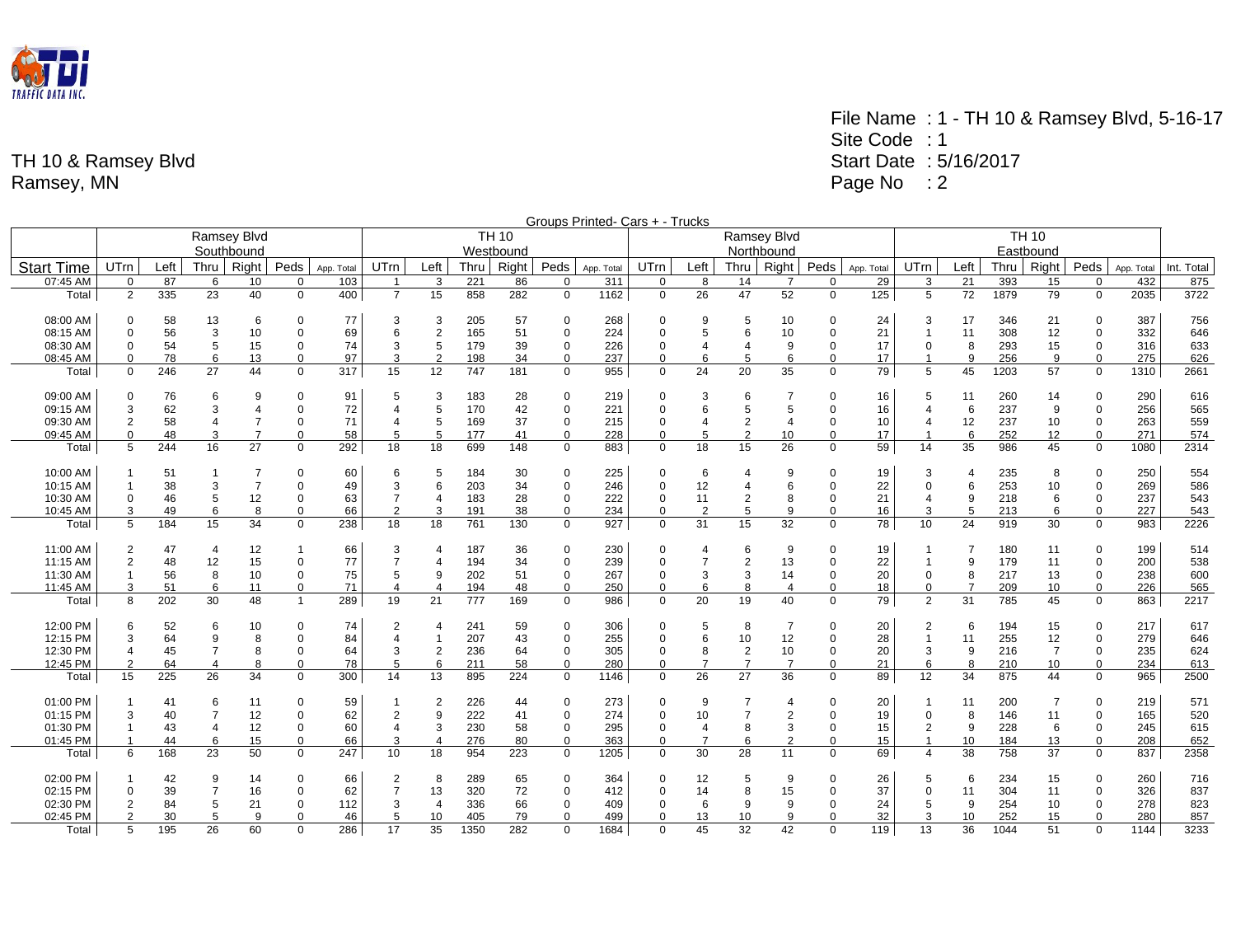

|                   |                |      |                |                    |              |            |                |                |      |              |             | Groups Printed- Cars + - Trucks |             |                |                |                |             |            |                  |                |      |                |             |            |            |  |  |  |  |
|-------------------|----------------|------|----------------|--------------------|--------------|------------|----------------|----------------|------|--------------|-------------|---------------------------------|-------------|----------------|----------------|----------------|-------------|------------|------------------|----------------|------|----------------|-------------|------------|------------|--|--|--|--|
|                   |                |      |                | <b>Ramsey Blvd</b> |              |            |                |                |      | <b>TH 10</b> |             |                                 |             |                | Ramsey Blvd    |                |             |            | <b>TH 10</b>     |                |      |                |             |            |            |  |  |  |  |
|                   |                |      |                | Southbound         |              |            |                |                |      | Westbound    |             |                                 |             |                | Northbound     |                |             |            |                  |                |      | Eastbound      |             |            |            |  |  |  |  |
| <b>Start Time</b> | UTrn           | Left | Thru           | Right              | Peds         | App. Total | UTrn           | Left           | Thru | Right        | Peds        | App. Total                      | UTrn        | Left           | Thru           | Right          | Peds        | App. Total | UTrn             | Left           | Thru | Right          | Peds        | App. Total | Int. Total |  |  |  |  |
| 07:45 AM          | $\mathbf 0$    | 87   | 6              | 10                 | $\Omega$     | 103        | $\overline{1}$ | 3              | 221  | 86           | $\Omega$    | 311                             | $\mathbf 0$ | 8              | 14             | $\overline{7}$ | $\Omega$    | 29         | 3                | 21             | 393  | 15             | $\Omega$    | 432        | 875        |  |  |  |  |
| Total             | 2              | 335  | 23             | 40                 | $\mathbf 0$  | 400        | $\overline{7}$ | 15             | 858  | 282          | $\mathbf 0$ | 1162                            | $\mathbf 0$ | 26             | 47             | 52             | $\mathbf 0$ | 125        | 5                | 72             | 1879 | 79             | $\Omega$    | 2035       | 3722       |  |  |  |  |
| 08:00 AM          | $\mathbf 0$    | 58   | 13             | 6                  | $\Omega$     | 77         | 3              | 3              | 205  | 57           | 0           | 268                             | $\Omega$    | 9              | 5              | 10             | $\Omega$    | 24         | 3                | 17             | 346  | 21             | 0           | 387        | 756        |  |  |  |  |
| 08:15 AM          | $\Omega$       | 56   | 3              | 10                 | $\Omega$     | 69         | 6              | $\overline{2}$ | 165  | 51           | $\mathbf 0$ | 224                             | $\Omega$    | 5              | 6              | 10             | $\Omega$    | 21         | $\overline{1}$   | 11             | 308  | 12             | $\Omega$    | 332        | 646        |  |  |  |  |
| 08:30 AM          | $\mathbf 0$    | 54   | 5              | 15                 | 0            | 74         | 3              | 5              | 179  | 39           | 0           | 226                             | $\mathbf 0$ |                | 4              | 9              | $\Omega$    | 17         | $\mathbf 0$      | 8              | 293  | 15             | 0           | 316        | 633        |  |  |  |  |
| 08:45 AM          | 0              | 78   | 6              | 13                 | $\mathbf 0$  | 97         | 3              | $\overline{2}$ | 198  | 34           | $\mathbf 0$ | 237                             | $\mathbf 0$ | 6              | 5              | 6              | 0           | 17         | $\mathbf{1}$     | 9              | 256  | 9              | $\mathbf 0$ | 275        | 626        |  |  |  |  |
| Total             | $\mathbf 0$    | 246  | 27             | 44                 | $\mathbf 0$  | 317        | 15             | 12             | 747  | 181          | $\mathbf 0$ | 955                             | $\mathbf 0$ | 24             | 20             | 35             | 0           | 79         | 5                | 45             | 1203 | 57             | $\mathbf 0$ | 1310       | 2661       |  |  |  |  |
| 09:00 AM          | $\mathbf 0$    | 76   | 6              | 9                  | $\Omega$     | 91         | 5              | 3              | 183  | 28           | $\mathbf 0$ | 219                             | $\Omega$    |                | 6              | $\overline{7}$ | O           | 16         | 5                | 11             | 260  | 14             | $\Omega$    | 290        | 616        |  |  |  |  |
| 09:15 AM          | 3              | 62   | 3              | $\overline{4}$     | $\Omega$     | 72         | 4              | 5              | 170  | 42           | $\mathbf 0$ | 221                             | $\Omega$    | 6              | 5              | 5              | $\Omega$    | 16         | $\Delta$         | 6              | 237  | 9              | $\Omega$    | 256        | 565        |  |  |  |  |
| 09:30 AM          | $\overline{2}$ | 58   | $\overline{4}$ |                    | $\Omega$     | 71         | $\overline{4}$ | 5              | 169  | 37           | $\mathbf 0$ | 215                             | $\mathbf 0$ |                | $\overline{2}$ | $\overline{4}$ | $\Omega$    | 10         | $\overline{4}$   | 12             | 237  | 10             | $\mathbf 0$ | 263        | 559        |  |  |  |  |
| 09:45 AM          | $\Omega$       | 48   | 3              | $\overline{7}$     | $\Omega$     | 58         | 5              | 5              | 177  | 41           | $\mathbf 0$ | 228                             | $\Omega$    | 5              | $\overline{2}$ | 10             | $\Omega$    | 17         |                  | 6              | 252  | 12             | $\Omega$    | 271        | 574        |  |  |  |  |
| Total             | 5              | 244  | 16             | 27                 | $\Omega$     | 292        | 18             | 18             | 699  | 148          | $\mathbf 0$ | 883                             | $\Omega$    | 18             | 15             | 26             | $\Omega$    | 59         | 14               | 35             | 986  | 45             | $\Omega$    | 1080       | 2314       |  |  |  |  |
| 10:00 AM          |                | 51   |                |                    | $\Omega$     | 60         | 6              | 5              | 184  | 30           | 0           | 225                             | $\Omega$    | 6              |                | 9              | $\Omega$    | 19         | 3                |                | 235  | 8              | $\Omega$    | 250        | 554        |  |  |  |  |
| 10:15 AM          | $\mathbf{1}$   | 38   | 3              | $\overline{7}$     | $\Omega$     | 49         | 3              | 6              | 203  | 34           | $\mathbf 0$ | 246                             | $\mathbf 0$ | 12             | 4              | 6              | $\Omega$    | 22         | $\Omega$         | 6              | 253  | 10             | $\Omega$    | 269        | 586        |  |  |  |  |
| 10:30 AM          | $\Omega$       | 46   | 5              | 12                 | $\mathbf 0$  | 63         | $\overline{7}$ | $\overline{4}$ | 183  | 28           | $\mathbf 0$ | 222                             | $\mathbf 0$ | 11             | $\overline{2}$ | 8              | 0           | 21         | $\overline{4}$   | 9              | 218  | 6              | $\mathbf 0$ | 237        | 543        |  |  |  |  |
| 10:45 AM          | 3              | 49   | 6              | 8                  | $\Omega$     | 66         | 2              | 3              | 191  | 38           | $\mathbf 0$ | 234                             | $\mathbf 0$ | $\overline{2}$ | 5              | 9              | $\Omega$    | 16         | 3                | 5              | 213  | 6              | $\Omega$    | 227        | 543        |  |  |  |  |
| Total             | 5              | 184  | 15             | 34                 | $\Omega$     | 238        | 18             | 18             | 761  | 130          | $\mathbf 0$ | 927                             | $\Omega$    | 31             | 15             | 32             | $\Omega$    | 78         | 10 <sup>10</sup> | 24             | 919  | 30             | $\Omega$    | 983        | 2226       |  |  |  |  |
| 11:00 AM          | 2              | 47   | $\overline{4}$ | 12                 | $\mathbf{1}$ | 66         | 3              | $\overline{4}$ | 187  | 36           | $\mathbf 0$ | 230                             | $\Omega$    | 4              | 6              | 9              | $\Omega$    | 19         | -1               |                | 180  | 11             | 0           | 199        | 514        |  |  |  |  |
| 11:15 AM          | 2              | 48   | 12             | 15                 | $\mathbf 0$  | 77         | $\overline{7}$ | $\overline{4}$ | 194  | 34           | $\mathbf 0$ | 239                             | $\mathbf 0$ | $\overline{7}$ | $\overline{2}$ | 13             | $\Omega$    | 22         | $\overline{1}$   | 9              | 179  | 11             | $\mathbf 0$ | 200        | 538        |  |  |  |  |
| 11:30 AM          |                | 56   | 8              | 10                 | $\mathbf 0$  | 75         | 5              | 9              | 202  | 51           | $\mathbf 0$ | 267                             | $\mathbf 0$ | 3              | 3              | 14             | 0           | 20         | 0                | 8              | 217  | 13             | 0           | 238        | 600        |  |  |  |  |
| 11:45 AM          | 3              | 51   | 6              | 11                 | $\Omega$     | 71         | $\overline{4}$ | $\overline{4}$ | 194  | 48           | $\mathbf 0$ | 250                             | $\mathbf 0$ | 6              | 8              | $\overline{4}$ | $\mathbf 0$ | 18         | $\mathbf 0$      | $\overline{7}$ | 209  | 10             | $\mathbf 0$ | 226        | 565        |  |  |  |  |
| Total             | 8              | 202  | 30             | 48                 | $\mathbf{1}$ | 289        | 19             | 21             | 777  | 169          | $\mathbf 0$ | 986                             | $\mathbf 0$ | 20             | 19             | 40             | $\mathbf 0$ | 79         | $\overline{2}$   | 31             | 785  | 45             | $\mathbf 0$ | 863        | 2217       |  |  |  |  |
| 12:00 PM          | 6              | 52   | 6              | 10                 | 0            | 74         | 2              | $\overline{4}$ | 241  | 59           | 0           | 306                             | $\Omega$    | 5              | 8              | 7              | $\Omega$    | 20         | 2                | 6              | 194  | 15             | 0           | 217        | 617        |  |  |  |  |
| 12:15 PM          | 3              | 64   | 9              | 8                  | $\mathbf 0$  | 84         | 4              | $\overline{1}$ | 207  | 43           | $\mathbf 0$ | 255                             | $\mathbf 0$ | 6              | 10             | 12             | $\Omega$    | 28         | $\overline{1}$   | 11             | 255  | 12             | 0           | 279        | 646        |  |  |  |  |
| 12:30 PM          | 4              | 45   | $\overline{7}$ | 8                  | $\mathbf 0$  | 64         | 3              | $\overline{2}$ | 236  | 64           | $\mathbf 0$ | 305                             | $\mathbf 0$ | 8              | $\overline{2}$ | 10             | 0           | 20         | 3                | 9              | 216  | $\overline{7}$ | $\mathbf 0$ | 235        | 624        |  |  |  |  |
| 12:45 PM          | $\overline{2}$ | 64   | $\overline{4}$ | 8                  | $\Omega$     | 78         | 5              | 6              | 211  | 58           | $\mathbf 0$ | 280                             | $\mathbf 0$ | $\overline{7}$ | $\overline{7}$ | $\overline{7}$ | $\Omega$    | 21         | 6                | 8              | 210  | 10             | $\Omega$    | 234        | 613        |  |  |  |  |
| Total             | 15             | 225  | 26             | 34                 | $\Omega$     | 300        | 14             | 13             | 895  | 224          | $\mathbf 0$ | 1146                            | $\Omega$    | 26             | 27             | 36             | $\Omega$    | 89         | 12               | 34             | 875  | 44             | $\Omega$    | 965        | 2500       |  |  |  |  |
| 01:00 PM          |                | 41   | 6              | 11                 | $\Omega$     | 59         |                | $\overline{2}$ | 226  | 44           | $\mathbf 0$ | 273                             | $\Omega$    | 9              |                | $\overline{4}$ | $\Omega$    | 20         | $\overline{1}$   | 11             | 200  | $\overline{7}$ | 0           | 219        | 571        |  |  |  |  |
| 01:15 PM          | 3              | 40   | $\overline{7}$ | 12                 | $\Omega$     | 62         | $\overline{2}$ | 9              | 222  | 41           | $\mathbf 0$ | 274                             | $\Omega$    | 10             | $\overline{7}$ | $\overline{2}$ | $\Omega$    | 19         | $\Omega$         | 8              | 146  | 11             | $\Omega$    | 165        | 520        |  |  |  |  |
| 01:30 PM          |                | 43   | $\overline{4}$ | 12                 | $\Omega$     | 60         | $\overline{4}$ | 3              | 230  | 58           | $\mathbf 0$ | 295                             | $\mathbf 0$ | $\overline{4}$ | 8              | 3              | $\Omega$    | 15         | $\overline{2}$   | 9              | 228  | 6              | $\mathbf 0$ | 245        | 615        |  |  |  |  |
| 01:45 PM          |                | 44   | 6              | 15                 | $\Omega$     | 66         | 3              | $\overline{4}$ | 276  | 80           | $\mathbf 0$ | 363                             | $\mathbf 0$ | $\overline{7}$ | 6              | $\overline{2}$ | $\Omega$    | 15         | $\mathbf{1}$     | 10             | 184  | 13             | $\mathbf 0$ | 208        | 652        |  |  |  |  |
| Total             | 6              | 168  | 23             | 50                 | $\Omega$     | 247        | 10             | 18             | 954  | 223          | $\mathbf 0$ | 1205                            | $\Omega$    | 30             | 28             | 11             | $\Omega$    | 69         | $\overline{4}$   | 38             | 758  | 37             | $\Omega$    | 837        | 2358       |  |  |  |  |
| 02:00 PM          |                | 42   | 9              | 14                 | 0            | 66         | 2              | 8              | 289  | 65           | 0           | 364                             | $\mathbf 0$ | 12             | 5              | 9              | 0           | 26         | 5                | 6              | 234  | 15             | 0           | 260        | 716        |  |  |  |  |
| 02:15 PM          | $\mathbf 0$    | 39   | 7              | 16                 | 0            | 62         | $\overline{7}$ | 13             | 320  | 72           | 0           | 412                             | $\mathbf 0$ | 14             | 8              | 15             |             | 37         | $\Omega$         | 11             | 304  | 11             | $\Omega$    | 326        | 837        |  |  |  |  |
| 02:30 PM          | $\overline{2}$ | 84   | 5              | 21                 | $\mathbf 0$  | 112        | 3              | $\overline{4}$ | 336  | 66           | 0           | 409                             | $\Omega$    | 6              | 9              | 9              | $\Omega$    | 24         | 5                | 9              | 254  | 10             | $\Omega$    | 278        | 823        |  |  |  |  |
| 02:45 PM          | $\overline{2}$ | 30   | 5              | 9                  | $\Omega$     | 46         | 5              | 10             | 405  | 79           | $\mathbf 0$ | 499                             | $\Omega$    | 13             | 10             | 9              | $\Omega$    | 32         | 3                | 10             | 252  | 15             | $\Omega$    | 280        | 857        |  |  |  |  |
| Total             | 5              | 195  | 26             | 60                 | $\Omega$     | 286        | 17             | 35             | 1350 | 282          | $\Omega$    | 1684                            | $\Omega$    | 45             | 32             | 42             | $\Omega$    | 119        | 13               | 36             | 1044 | 51             | $\Omega$    | 1144       | 3233       |  |  |  |  |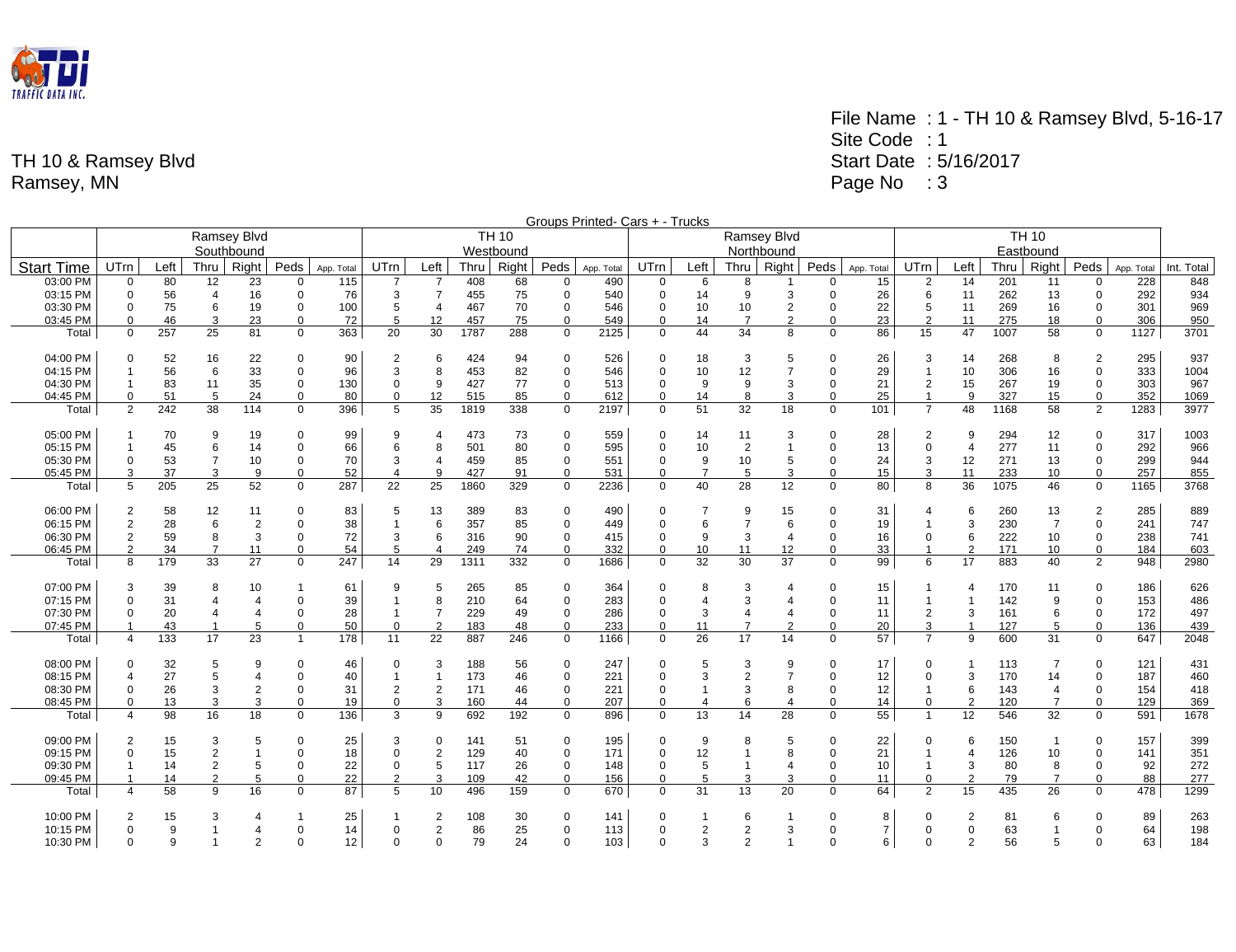

|                   | Groups Printed- Cars + - Trucks<br><b>TH 10</b><br>Ramsey Blvd<br><b>TH 10</b><br>Ramsey Blvd |          |                     |                |                         |                 |                |                     |            |           |                            |            |                            |                         |                |                |                         |                |                             |                |            |                |                            |            |             |  |  |  |  |
|-------------------|-----------------------------------------------------------------------------------------------|----------|---------------------|----------------|-------------------------|-----------------|----------------|---------------------|------------|-----------|----------------------------|------------|----------------------------|-------------------------|----------------|----------------|-------------------------|----------------|-----------------------------|----------------|------------|----------------|----------------------------|------------|-------------|--|--|--|--|
|                   |                                                                                               |          |                     |                |                         |                 |                |                     |            |           |                            |            |                            |                         |                |                |                         |                |                             |                |            |                |                            |            |             |  |  |  |  |
|                   |                                                                                               |          |                     | Southbound     |                         |                 |                |                     |            | Westbound |                            |            |                            |                         |                | Northbound     |                         |                |                             |                |            | Eastbound      |                            |            |             |  |  |  |  |
| <b>Start Time</b> | UTrn                                                                                          | Left     | Thru                | Right          | Peds                    | App. Total      | <b>UTrn</b>    | Left                | Thru       | Right     | Peds                       | App. Total | UTrn                       | Left                    | Thru           | Right          | Peds                    | App. Total     | UTrn                        | Left           | Thru       | Right          | Peds                       | App. Total | Int. Total  |  |  |  |  |
| 03:00 PM          | $\mathbf 0$                                                                                   | 80       | 12                  | 23             | 0                       | 115             | $\overline{7}$ | $\overline{7}$      | 408        | 68        | $\mathbf 0$                | 490        | 0                          | 6                       | 8              | $\overline{1}$ | $\mathbf 0$             | 15             | 2                           | 14             | 201        | 11             | 0                          | 228        | 848         |  |  |  |  |
| 03:15 PM          | $\mathbf 0$                                                                                   | 56       | $\overline{4}$      | 16             | $\mathbf 0$             | 76              | 3              | $\overline{7}$      | 455        | 75        | $\mathbf 0$                | 540        | $\mathbf 0$                | 14                      | 9              | 3              | $\Omega$                | 26             | 6                           | 11             | 262        | 13             | $\mathbf 0$                | 292        | 934         |  |  |  |  |
| 03:30 PM          | $\mathbf 0$                                                                                   | 75       | 6                   | 19             | $\mathbf 0$             | 100             | 5              | $\overline{4}$      | 467        | 70        | $\mathbf 0$                | 546        | $\mathbf 0$                | 10                      | 10             | $\overline{2}$ | $\Omega$                | 22             | 5                           | 11             | 269        | 16             | $\mathbf 0$                | 301        | 969         |  |  |  |  |
| 03:45 PM          | $\mathbf 0$                                                                                   | 46       | 3                   | 23             | $\Omega$                | 72              | 5              | 12                  | 457        | 75        | $\mathbf 0$                | 549        | $\mathbf 0$                | 14                      | $\overline{7}$ | $\overline{2}$ | $\Omega$                | 23             | $\overline{2}$              | 11             | 275        | 18             | $\mathbf 0$                | 306        | 950         |  |  |  |  |
| Total             | $\mathbf 0$                                                                                   | 257      | 25                  | 81             | $\mathbf 0$             | 363             | 20             | 30                  | 1787       | 288       | $\mathbf 0$                | 2125       | $\mathbf 0$                | 44                      | 34             | 8              | $\Omega$                | 86             | 15                          | 47             | 1007       | 58             | $\mathbf 0$                | 1127       | 3701        |  |  |  |  |
|                   |                                                                                               |          |                     |                |                         |                 |                |                     |            |           |                            |            |                            |                         |                |                |                         |                |                             |                |            |                |                            |            |             |  |  |  |  |
| 04:00 PM          | $\mathbf 0$                                                                                   | 52       | 16                  | 22             | 0                       | 90              | $\overline{2}$ | 6                   | 424        | 94        | $\overline{0}$             | 526        | 0                          | 18                      | 3              | 5              | $\Omega$                | 26             | 3                           | 14             | 268        | 8              | 2                          | 295        | 937         |  |  |  |  |
| 04:15 PM          |                                                                                               | 56       | 6                   | 33             | $\mathbf 0$             | 96              | 3              | 8                   | 453        | 82        | $\mathbf 0$                | 546        | $\mathbf 0$                | 10                      | 12             | $\overline{7}$ | $\Omega$                | 29             | $\mathbf{1}$                | 10             | 306        | 16             | $\mathbf 0$                | 333        | 1004        |  |  |  |  |
| 04:30 PM          | $\mathbf{1}$                                                                                  | 83       | 11                  | 35             | $\mathbf 0$             | 130             | 0              | 9                   | 427        | 77        | $\mathbf 0$                | 513        | $\mathbf 0$                | 9                       | 9              | 3              | 0                       | 21             | $\overline{2}$              | 15             | 267        | 19             | $\mathbf 0$                | 303        | 967         |  |  |  |  |
| 04:45 PM          | $\Omega$                                                                                      | 51       | 5                   | 24             | $\Omega$                | 80              | $\Omega$       | 12                  | 515        | 85        | $\mathbf 0$                | 612        | $\mathbf 0$                | 14                      | 8              | 3              | $\Omega$                | 25             | $\mathbf{1}$                | 9              | 327        | 15             | $\mathbf 0$                | 352        | 1069        |  |  |  |  |
| Total             | 2                                                                                             | 242      | 38                  | 114            | $\mathbf 0$             | 396             | 5              | 35                  | 1819       | 338       | $\mathbf 0$                | 2197       | $\mathbf 0$                | 51                      | 32             | 18             | $\Omega$                | 101            | $\overline{7}$              | 48             | 1168       | 58             | $\overline{2}$             | 1283       | 3977        |  |  |  |  |
| 05:00 PM          |                                                                                               | 70       | 9                   | 19             | 0                       | 99              | 9              | $\overline{4}$      | 473        | 73        | $\mathbf 0$                | 559        | $\mathbf 0$                | 14                      | 11             | 3              | $\Omega$                | 28             | $\overline{2}$              | 9              | 294        | 12             | 0                          | 317        | 1003        |  |  |  |  |
| 05:15 PM          |                                                                                               | 45       | 6                   | 14             | $\mathbf 0$             | 66              | 6              | 8                   | 501        | 80        | $\mathbf 0$                | 595        | $\mathbf 0$                | 10                      | 2              | $\overline{1}$ | $\Omega$                | 13             | $\Omega$                    | $\overline{4}$ | 277        | 11             | $\mathbf 0$                | 292        | 966         |  |  |  |  |
| 05:30 PM          | $\mathbf 0$                                                                                   | 53       | $\overline{7}$      | 10             | $\mathbf 0$             | 70              | 3              | $\overline{4}$      | 459        | 85        | $\mathbf 0$                | 551        | $\mathbf 0$                | 9                       | 10             | 5              | 0                       | 24             | 3                           | 12             | 271        | 13             | $\mathbf 0$                | 299        | 944         |  |  |  |  |
| 05:45 PM          | 3                                                                                             | 37       | 3                   | 9              | $\mathbf 0$             | 52              | $\overline{4}$ | 9                   | 427        | 91        | $\mathbf 0$                | 531        | $\mathbf 0$                | $\overline{7}$          | 5              | 3              | $\mathbf 0$             | 15             | 3                           | 11             | 233        | 10             | $\mathbf 0$                | 257        | 855         |  |  |  |  |
| Total             | 5                                                                                             | 205      | 25                  | 52             | $\Omega$                | 287             | 22             | 25                  | 1860       | 329       | $\mathbf 0$                | 2236       | $\Omega$                   | 40                      | 28             | 12             | $\Omega$                | 80             | 8                           | 36             | 1075       | 46             | $\Omega$                   | 1165       | 3768        |  |  |  |  |
| 06:00 PM          | $\overline{2}$                                                                                | 58       | 12                  | 11             | 0                       | 83              | 5              | 13                  | 389        | 83        | $\mathbf 0$                | 490        | $\mathbf 0$                | $\overline{7}$          | 9              | 15             | $\Omega$                | 31             | 4                           | 6              | 260        | 13             | $\overline{2}$             | 285        | 889         |  |  |  |  |
| 06:15 PM          | $\overline{2}$                                                                                | 28       | 6                   |                | $\mathbf 0$             | 38              | $\overline{1}$ | 6                   | 357        | 85        | $\mathbf 0$                | 449        | $\mathbf 0$                | 6                       | $\overline{7}$ | 6              | $\Omega$                |                |                             | 3              | 230        | $\overline{7}$ | $\mathbf 0$                | 241        | 747         |  |  |  |  |
|                   |                                                                                               |          |                     | 2              |                         | 72              |                |                     |            |           |                            |            |                            |                         |                |                |                         | 19             | $\mathbf 1$                 | 6              |            |                |                            |            |             |  |  |  |  |
| 06:30 PM          | $\overline{2}$<br>$\overline{2}$                                                              | 59<br>34 | 8<br>$\overline{7}$ | 3<br>11        | $\mathbf 0$<br>$\Omega$ | 54              | 3<br>5         | 6<br>$\overline{4}$ | 316<br>249 | 90<br>74  | $\mathbf 0$<br>$\mathbf 0$ | 415<br>332 | $\mathbf 0$<br>$\mathbf 0$ | 9                       | 3<br>11        | $\overline{4}$ | $\mathbf 0$<br>$\Omega$ | 16             | $\mathbf 0$<br>$\mathbf{1}$ | 2              | 222<br>171 | 10             | $\mathbf 0$<br>$\mathbf 0$ | 238<br>184 | 741         |  |  |  |  |
| 06:45 PM          | 8                                                                                             | 179      | 33                  | 27             | $\mathbf 0$             | 247             | 14             | 29                  |            | 332       | $\mathbf 0$                | 1686       | $\mathbf 0$                | 10<br>32                | 30             | 12<br>37       | $\Omega$                | 33<br>99       | 6                           | 17             | 883        | 10<br>40       | $\overline{2}$             |            | 603<br>2980 |  |  |  |  |
| Total             |                                                                                               |          |                     |                |                         |                 |                |                     | 1311       |           |                            |            |                            |                         |                |                |                         |                |                             |                |            |                |                            | 948        |             |  |  |  |  |
| 07:00 PM          | 3                                                                                             | 39       | 8                   | 10             | -1                      | 61              | 9              | 5                   | 265        | 85        | $\mathbf 0$                | 364        | $\mathbf 0$                | 8                       | 3              | $\overline{4}$ | $\Omega$                | 15             | $\mathbf 1$                 | $\overline{4}$ | 170        | 11             | 0                          | 186        | 626         |  |  |  |  |
| 07:15 PM          | $\Omega$                                                                                      | 31       | $\overline{4}$      | $\overline{4}$ | $\mathbf 0$             | 39              | $\overline{1}$ | 8                   | 210        | 64        | $\mathbf 0$                | 283        | $\mathbf 0$                | $\overline{4}$          | 3              | $\overline{4}$ | $\Omega$                | 11             | $\mathbf{1}$                |                | 142        | 9              | $\mathbf 0$                | 153        | 486         |  |  |  |  |
| 07:30 PM          | $\mathbf 0$                                                                                   | 20       | $\overline{4}$      | $\overline{4}$ | $\mathbf 0$             | 28              | $\overline{1}$ | $\overline{7}$      | 229        | 49        | $\mathbf 0$                | 286        | $\mathbf 0$                | 3                       | $\overline{4}$ | $\overline{4}$ | $\mathbf 0$             | 11             | $\overline{2}$              | 3              | 161        | 6              | $\mathbf 0$                | 172        | 497         |  |  |  |  |
| 07:45 PM          |                                                                                               | 43       | $\overline{1}$      | 5              | $\Omega$                | 50              | $\Omega$       | $\overline{2}$      | 183        | 48        | $\Omega$                   | 233        | $\Omega$                   | 11                      | $\overline{7}$ | $\overline{2}$ | $\Omega$                | 20             | 3                           |                | 127        | 5              | $\Omega$                   | 136        | 439         |  |  |  |  |
| Total             | 4                                                                                             | 133      | 17                  | 23             | $\overline{1}$          | 178             | 11             | 22                  | 887        | 246       | $\mathbf 0$                | 1166       | $\Omega$                   | 26                      | 17             | 14             | $\Omega$                | 57             | $\overline{7}$              | 9              | 600        | 31             | $\Omega$                   | 647        | 2048        |  |  |  |  |
|                   |                                                                                               |          |                     |                |                         |                 |                |                     |            |           |                            |            |                            |                         |                |                |                         |                |                             |                |            |                |                            |            |             |  |  |  |  |
| 08:00 PM          | $\mathbf 0$                                                                                   | 32       | 5                   | 9              | $\Omega$                | 46              | 0              | 3                   | 188        | 56        | $\mathbf 0$                | 247        | $\Omega$                   | 5                       | 3              | 9              | $\Omega$                | 17             | $\Omega$                    |                | 113        | $\overline{7}$ | 0                          | 121        | 431         |  |  |  |  |
| 08:15 PM          | $\overline{4}$                                                                                | 27       | $\sqrt{5}$          |                | $\mathbf 0$             | 40              | $\overline{1}$ | $\overline{1}$      | 173        | 46        | $\mathbf 0$                | 221        | $\mathbf 0$                | 3                       | $\overline{2}$ | $\overline{7}$ | $\Omega$                | 12             | $\mathbf 0$                 | 3              | 170        | 14             | 0                          | 187        | 460         |  |  |  |  |
| 08:30 PM          | $\mathbf 0$                                                                                   | 26       | 3                   | $\overline{2}$ | 0                       | 31              | $\overline{2}$ | $\overline{2}$      | 171        | 46        | $\mathbf 0$                | 221        | $\pmb{0}$                  |                         | 3              | 8              | $\Omega$                | 12             | $\mathbf{1}$                | 6              | 143        | $\overline{4}$ | $\mathbf 0$                | 154        | 418         |  |  |  |  |
| 08:45 PM          | $\Omega$                                                                                      | 13       | 3                   | 3              | $\Omega$                | 19              | $\Omega$       | 3                   | 160        | 44        | $\mathbf 0$                | 207        | $\mathbf 0$                | $\overline{\mathbf{4}}$ | 6              | $\overline{4}$ | $\Omega$                | 14             | $\mathbf 0$                 | $\overline{2}$ | 120        | $\overline{7}$ | $\Omega$                   | 129        | 369         |  |  |  |  |
| Total             | 4                                                                                             | 98       | 16                  | 18             | $\Omega$                | 136             | 3              | 9                   | 692        | 192       | $\mathbf 0$                | 896        | $\Omega$                   | 13                      | 14             | 28             | $\Omega$                | 55             | $\mathbf{1}$                | 12             | 546        | 32             | $\Omega$                   | 591        | 1678        |  |  |  |  |
| 09:00 PM          | $\overline{2}$                                                                                | 15       | 3                   | 5              | $\Omega$                | 25              | 3              | $\mathbf 0$         | 141        | 51        | $\mathbf 0$                | 195        | $\overline{0}$             | 9                       | 8              | 5              | $\Omega$                | 22             | $\Omega$                    | 6              | 150        | $\mathbf 1$    | 0                          | 157        | 399         |  |  |  |  |
| 09:15 PM          | $\mathbf 0$                                                                                   | 15       | $\overline{c}$      |                | $\mathbf 0$             | 18              | $\mathbf 0$    | $\overline{2}$      | 129        | 40        | $\mathbf 0$                | 171        | $\mathbf 0$                | 12                      | 1              | 8              | $\Omega$                | 21             | $\mathbf{1}$                | $\overline{4}$ | 126        | 10             | $\mathbf 0$                | 141        | 351         |  |  |  |  |
| 09:30 PM          | $\overline{1}$                                                                                | 14       | $\overline{2}$      | 5              | 0                       | 22              | $\mathbf 0$    | 5                   | 117        | 26        | $\mathbf 0$                | 148        | $\mathbf 0$                | 5                       | $\mathbf{1}$   | $\overline{4}$ | $\Omega$                | 10             | $\mathbf{1}$                | 3              | 80         | 8              | $\mathbf 0$                | 92         | 272         |  |  |  |  |
| 09:45 PM          |                                                                                               | 14       | $\overline{2}$      | 5              | $\Omega$                | 22              | 2              | 3                   | 109        | 42        | $\mathbf 0$                | 156        | $\mathbf 0$                | 5                       | 3              | 3              | $\Omega$                | 11             | $\Omega$                    | $\overline{2}$ | 79         | $\overline{7}$ | $\Omega$                   | 88         | 277         |  |  |  |  |
| Total             | 4                                                                                             | 58       | 9                   | 16             | $\Omega$                | 87              | 5              | 10                  | 496        | 159       | $\mathbf 0$                | 670        | $\mathbf 0$                | 31                      | 13             | 20             | $\Omega$                | 64             | $\mathfrak{p}$              | 15             | 435        | 26             | $\Omega$                   | 478        | 1299        |  |  |  |  |
|                   |                                                                                               |          |                     |                |                         |                 |                |                     |            |           |                            |            |                            |                         |                |                |                         |                |                             |                |            |                |                            |            |             |  |  |  |  |
| 10:00 PM          | 2                                                                                             | 15       | 3                   | $\overline{4}$ | -1                      | 25              | 1              | $\overline{2}$      | 108        | 30        | $\mathbf 0$                | 141        | $\mathbf 0$                |                         | 6              | $\overline{1}$ | $\Omega$                | 8              | $\Omega$                    | 2              | 81         | 6              | $\mathbf 0$                | 89         | 263         |  |  |  |  |
| 10:15 PM          | $\mathbf 0$                                                                                   | 9        | $\overline{1}$      |                | 0                       | 14              | 0              | $\overline{2}$      | 86         | 25        | $\mathbf 0$                | 113        | $\mathbf 0$                | $\overline{2}$          | $\overline{2}$ | 3              | $\Omega$                | $\overline{7}$ | $\Omega$                    | 0              | 63         |                | $\mathbf 0$                | 64         | 198         |  |  |  |  |
| 10:30 PM          | $\mathbf 0$                                                                                   | 9        | $\overline{1}$      |                | $\Omega$                | 12 <sup>2</sup> | $\Omega$       | $\Omega$            | 79         | 24        | $\mathbf 0$                | 103        | $\Omega$                   |                         | $\overline{2}$ |                | $\Omega$                | 6              | $\Omega$                    | $\overline{2}$ | 56         | 5              | $\Omega$                   | 63         | 184         |  |  |  |  |
|                   |                                                                                               |          |                     |                |                         |                 |                |                     |            |           |                            |            |                            |                         |                |                |                         |                |                             |                |            |                |                            |            |             |  |  |  |  |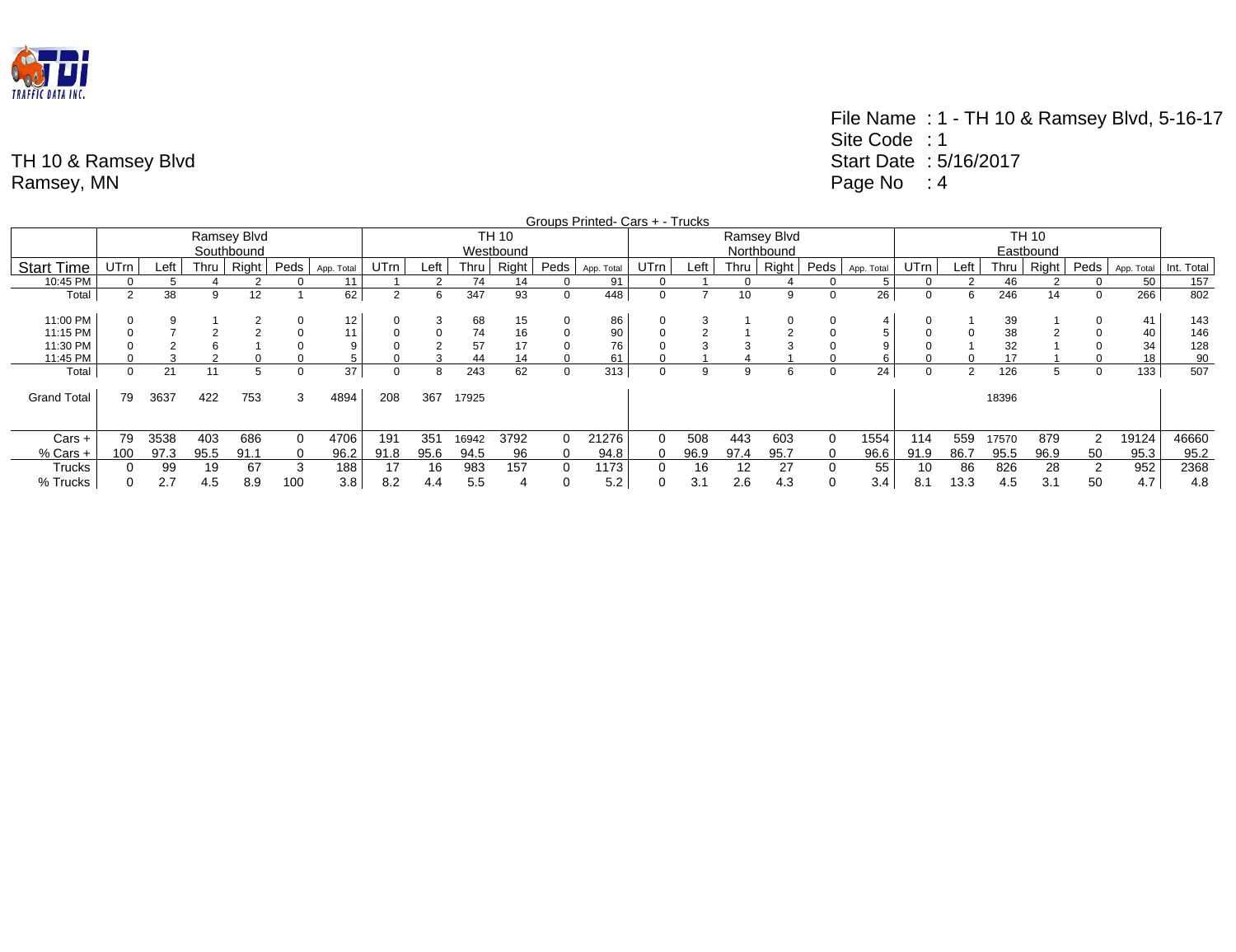

|                    |          |      |      |             |      |            |             |                 |       |           |          | Groups Printed- Cars + - Trucks |      |      |      |             |      |            |             |      |       |       |             |            |            |
|--------------------|----------|------|------|-------------|------|------------|-------------|-----------------|-------|-----------|----------|---------------------------------|------|------|------|-------------|------|------------|-------------|------|-------|-------|-------------|------------|------------|
|                    |          |      |      | Ramsey Blvd |      |            |             |                 |       | TH 10     |          |                                 |      |      |      | Ramsey Blvd |      |            |             |      |       |       |             |            |            |
|                    |          |      |      | Southbound  |      |            |             |                 |       | Westbound |          |                                 |      |      |      | Northbound  |      |            |             |      |       |       |             |            |            |
| <b>Start Time</b>  | UTrn     | Left | Thru | Right       | Peds | App. Total | <b>UTrn</b> | Left            | Thru  | Right     | Peds '   | App. Total                      | UTrn | Left | Thru | Right       | Peds | App. Total | <b>UTrn</b> | Left | Thru  | Right | Peds        | App. Total | Int. Total |
| 10:45 PM           | 0        |      |      |             |      | 11         |             |                 | 74    | 14        |          | 91                              |      |      |      |             | 0    | 5.         |             |      | 46    |       | 0           | 50         | 157        |
| Total              | $\Omega$ | 38   | 9    | 12          |      | 62         | 2           | 6               | 347   | 93        | 0        | 448                             | 0    |      | 10   | 9           | 0    | 26         | 0           | 6    | 246   | 14    | 0           | 266        | 802        |
|                    |          |      |      |             |      |            |             |                 |       |           |          |                                 |      |      |      |             |      |            |             |      |       |       |             |            |            |
| 11:00 PM           |          | 9    |      |             |      | 12         |             | చ               | 68    | 15        |          | 86                              |      |      |      | 0           |      | 4          |             |      | 39    |       |             | 41         | 143        |
| 11:15 PM           |          |      |      |             |      | 11         |             | $\Omega$        | 74    | 16        |          | 90                              |      |      |      |             | 0    |            |             |      | 38    |       |             | 40         | 146        |
| 11:30 PM           |          |      |      |             |      | C          |             |                 | 57    | 17        |          | 76                              |      |      |      |             |      |            |             |      | 32    |       |             | 34         | 128        |
| 11:45 PM           |          |      |      |             |      |            |             |                 | 44    | 14        |          | 61                              |      |      |      |             |      |            |             |      | 17    |       |             | 18         | 90         |
| Total              | 0        | 21   | 11   |             |      | 37         |             | 8               | 243   | 62        |          | 313                             |      | 9    | -9   | 6           | 0    | 24         |             | າ    | 126   | 5     | 0           | 133        | 507        |
|                    |          |      |      |             |      |            |             |                 |       |           |          |                                 |      |      |      |             |      |            |             |      |       |       |             |            |            |
| <b>Grand Total</b> | 79       | 3637 | 422  | 753         | 3    | 4894       | 208         | 367             | 17925 |           |          |                                 |      |      |      |             |      |            |             |      | 18396 |       |             |            |            |
|                    |          |      |      |             |      |            |             |                 |       |           |          |                                 |      |      |      |             |      |            |             |      |       |       |             |            |            |
|                    |          |      |      |             |      |            |             |                 |       |           |          |                                 |      |      |      |             |      |            |             |      |       |       |             |            |            |
| Cars +             | 79       | 3538 | 403  | 686         |      | 4706       | 191         | 35 <sup>1</sup> | 16942 | 3792      | $\Omega$ | 21276                           |      | 508  | 443  | 603         |      | 1554       | 114         | 559  | 17570 | 879   | $\sim$<br>∠ | 19124      | 46660      |
| % Cars +           | 100      | 97.3 | 95.5 | 91.1        |      | 96.2       | 91.8        | 95.6            | 94.5  | 96        | 0        | 94.8                            |      | 96.9 | 97.4 | 95.7        |      | 96.6       | 91.9        | 86.7 | 95.5  | 96.9  | 50          | 95.3       | 95.2       |
| Trucks             |          | 99   | 19   | 67          | 3    | 188        | 17          | 16              | 983   | 157       | $\Omega$ | 1173                            |      | 16   |      | 27          |      | 55         | 10          | 86   | 826   | 28    |             | 952        | 2368       |
| % Trucks           |          | 2.7  | 4.5  | 8.9         | 100  | 3.8        | 8.2         | 4.4             | 5.5   |           |          | 5.2                             |      | 3.2  | 2.6  | 4.3         |      | 3.4        | 8.1         | 13.3 | 4.5   | 3.1   | 50          | 4.7        | 4.8        |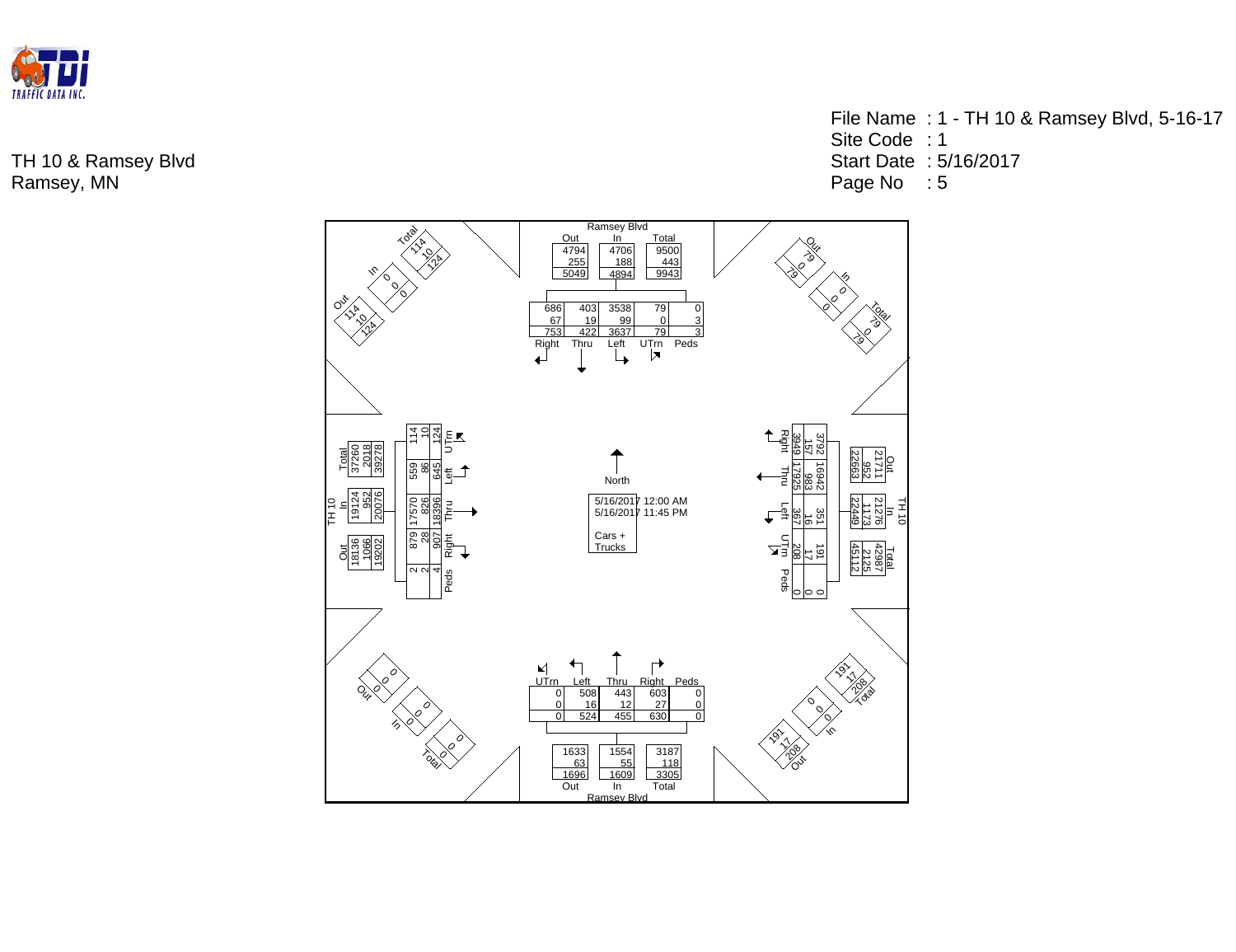